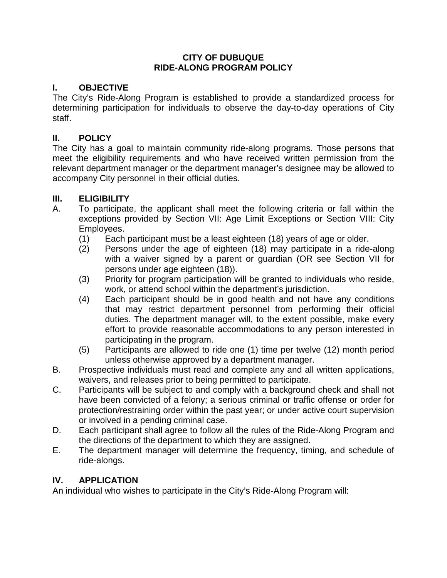#### **CITY OF DUBUQUE RIDE-ALONG PROGRAM POLICY**

# **I. OBJECTIVE**

The City's Ride-Along Program is established to provide a standardized process for determining participation for individuals to observe the day-to-day operations of City staff.

#### **II. POLICY**

The City has a goal to maintain community ride-along programs. Those persons that meet the eligibility requirements and who have received written permission from the relevant department manager or the department manager's designee may be allowed to accompany City personnel in their official duties.

# **III. ELIGIBILITY**

- A. To participate, the applicant shall meet the following criteria or fall within the exceptions provided by Section VII: Age Limit Exceptions or Section VIII: City Employees.
	- (1) Each participant must be a least eighteen (18) years of age or older.
	- (2) Persons under the age of eighteen (18) may participate in a ride-along with a waiver signed by a parent or guardian (OR see Section VII for persons under age eighteen (18)).
	- (3) Priority for program participation will be granted to individuals who reside, work, or attend school within the department's jurisdiction.
	- (4) Each participant should be in good health and not have any conditions that may restrict department personnel from performing their official duties. The department manager will, to the extent possible, make every effort to provide reasonable accommodations to any person interested in participating in the program.
	- (5) Participants are allowed to ride one (1) time per twelve (12) month period unless otherwise approved by a department manager.
- B. Prospective individuals must read and complete any and all written applications, waivers, and releases prior to being permitted to participate.
- C. Participants will be subject to and comply with a background check and shall not have been convicted of a felony; a serious criminal or traffic offense or order for protection/restraining order within the past year; or under active court supervision or involved in a pending criminal case.
- D. Each participant shall agree to follow all the rules of the Ride-Along Program and the directions of the department to which they are assigned.
- E. The department manager will determine the frequency, timing, and schedule of ride-alongs.

#### **IV. APPLICATION**

An individual who wishes to participate in the City's Ride-Along Program will: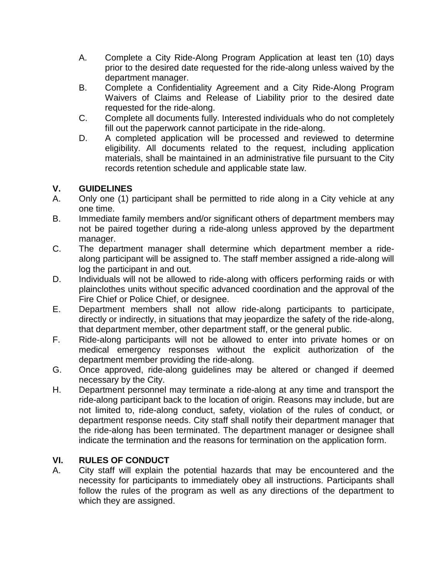- A. Complete a City Ride-Along Program Application at least ten (10) days prior to the desired date requested for the ride-along unless waived by the department manager.
- B. Complete a Confidentiality Agreement and a City Ride-Along Program Waivers of Claims and Release of Liability prior to the desired date requested for the ride-along.
- C. Complete all documents fully. Interested individuals who do not completely fill out the paperwork cannot participate in the ride-along.
- D. A completed application will be processed and reviewed to determine eligibility. All documents related to the request, including application materials, shall be maintained in an administrative file pursuant to the City records retention schedule and applicable state law.

# **V. GUIDELINES**

- Only one (1) participant shall be permitted to ride along in a City vehicle at any one time.
- B. Immediate family members and/or significant others of department members may not be paired together during a ride-along unless approved by the department manager.
- C. The department manager shall determine which department member a ridealong participant will be assigned to. The staff member assigned a ride-along will log the participant in and out.
- D. Individuals will not be allowed to ride-along with officers performing raids or with plainclothes units without specific advanced coordination and the approval of the Fire Chief or Police Chief, or designee.
- E. Department members shall not allow ride-along participants to participate, directly or indirectly, in situations that may jeopardize the safety of the ride-along, that department member, other department staff, or the general public.
- F. Ride-along participants will not be allowed to enter into private homes or on medical emergency responses without the explicit authorization of the department member providing the ride-along.
- G. Once approved, ride-along guidelines may be altered or changed if deemed necessary by the City.
- H. Department personnel may terminate a ride-along at any time and transport the ride-along participant back to the location of origin. Reasons may include, but are not limited to, ride-along conduct, safety, violation of the rules of conduct, or department response needs. City staff shall notify their department manager that the ride-along has been terminated. The department manager or designee shall indicate the termination and the reasons for termination on the application form.

# **VI. RULES OF CONDUCT**

A. City staff will explain the potential hazards that may be encountered and the necessity for participants to immediately obey all instructions. Participants shall follow the rules of the program as well as any directions of the department to which they are assigned.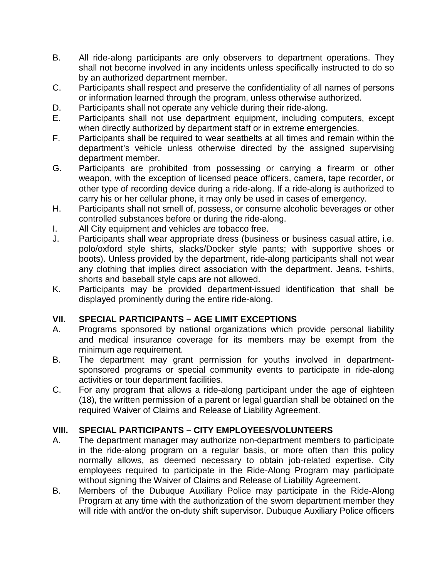- B. All ride-along participants are only observers to department operations. They shall not become involved in any incidents unless specifically instructed to do so by an authorized department member.
- C. Participants shall respect and preserve the confidentiality of all names of persons or information learned through the program, unless otherwise authorized.
- D. Participants shall not operate any vehicle during their ride-along.
- E. Participants shall not use department equipment, including computers, except when directly authorized by department staff or in extreme emergencies.
- F. Participants shall be required to wear seatbelts at all times and remain within the department's vehicle unless otherwise directed by the assigned supervising department member.
- G. Participants are prohibited from possessing or carrying a firearm or other weapon, with the exception of licensed peace officers, camera, tape recorder, or other type of recording device during a ride-along. If a ride-along is authorized to carry his or her cellular phone, it may only be used in cases of emergency.
- H. Participants shall not smell of, possess, or consume alcoholic beverages or other controlled substances before or during the ride-along.
- I. All City equipment and vehicles are tobacco free.
- J. Participants shall wear appropriate dress (business or business casual attire, i.e. polo/oxford style shirts, slacks/Docker style pants; with supportive shoes or boots). Unless provided by the department, ride-along participants shall not wear any clothing that implies direct association with the department. Jeans, t-shirts, shorts and baseball style caps are not allowed.
- K. Participants may be provided department-issued identification that shall be displayed prominently during the entire ride-along.

# **VII. SPECIAL PARTICIPANTS – AGE LIMIT EXCEPTIONS**

- A. Programs sponsored by national organizations which provide personal liability and medical insurance coverage for its members may be exempt from the minimum age requirement.
- B. The department may grant permission for youths involved in departmentsponsored programs or special community events to participate in ride-along activities or tour department facilities.
- C. For any program that allows a ride-along participant under the age of eighteen (18), the written permission of a parent or legal guardian shall be obtained on the required Waiver of Claims and Release of Liability Agreement.

# **VIII. SPECIAL PARTICIPANTS – CITY EMPLOYEES/VOLUNTEERS**

- A. The department manager may authorize non-department members to participate in the ride-along program on a regular basis, or more often than this policy normally allows, as deemed necessary to obtain job-related expertise. City employees required to participate in the Ride-Along Program may participate without signing the Waiver of Claims and Release of Liability Agreement.
- B. Members of the Dubuque Auxiliary Police may participate in the Ride-Along Program at any time with the authorization of the sworn department member they will ride with and/or the on-duty shift supervisor. Dubuque Auxiliary Police officers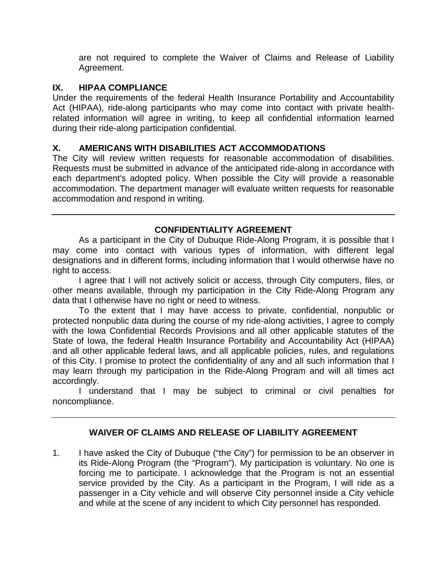are not required to complete the Waiver of Claims and Release of Liability Agreement.

#### **IX. HIPAA COMPLIANCE**

Under the requirements of the federal Health Insurance Portability and Accountability Act (HIPAA), ride-along participants who may come into contact with private healthrelated information will agree in writing, to keep all confidential information learned during their ride-along participation confidential.

#### **X. AMERICANS WITH DISABILITIES ACT ACCOMMODATIONS**

The City will review written requests for reasonable accommodation of disabilities. Requests must be submitted in advance of the anticipated ride-along in accordance with each department's adopted policy. When possible the City will provide a reasonable accommodation. The department manager will evaluate written requests for reasonable accommodation and respond in writing.

# **CONFIDENTIALITY AGREEMENT**

As a participant in the City of Dubuque Ride-Along Program, it is possible that I may come into contact with various types of information, with different legal designations and in different forms, including information that I would otherwise have no right to access.

I agree that I will not actively solicit or access, through City computers, files, or other means available, through my participation in the City Ride-Along Program any data that I otherwise have no right or need to witness.

To the extent that I may have access to private, confidential, nonpublic or protected nonpublic data during the course of my ride-along activities, I agree to comply with the Iowa Confidential Records Provisions and all other applicable statutes of the State of Iowa, the federal Health Insurance Portability and Accountability Act (HIPAA) and all other applicable federal laws, and all applicable policies, rules, and regulations of this City. I promise to protect the confidentiality of any and all such information that I may learn through my participation in the Ride-Along Program and will all times act accordingly.

I understand that I may be subject to criminal or civil penalties for noncompliance.

# **WAIVER OF CLAIMS AND RELEASE OF LIABILITY AGREEMENT**

1. I have asked the City of Dubuque ("the City") for permission to be an observer in its Ride-Along Program (the "Program"). My participation is voluntary. No one is forcing me to participate. I acknowledge that the Program is not an essential service provided by the City. As a participant in the Program, I will ride as a passenger in a City vehicle and will observe City personnel inside a City vehicle and while at the scene of any incident to which City personnel has responded.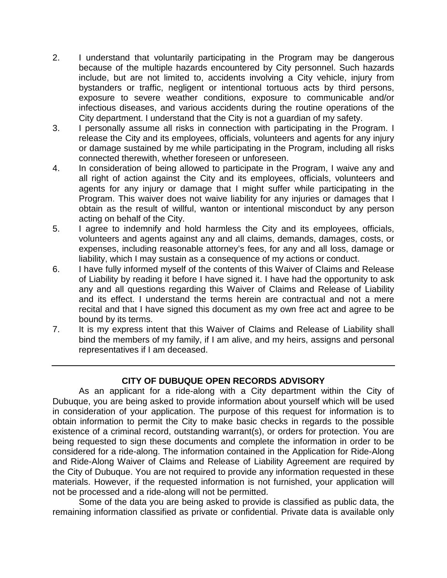- 2. I understand that voluntarily participating in the Program may be dangerous because of the multiple hazards encountered by City personnel. Such hazards include, but are not limited to, accidents involving a City vehicle, injury from bystanders or traffic, negligent or intentional tortuous acts by third persons, exposure to severe weather conditions, exposure to communicable and/or infectious diseases, and various accidents during the routine operations of the City department. I understand that the City is not a guardian of my safety.
- 3. I personally assume all risks in connection with participating in the Program. I release the City and its employees, officials, volunteers and agents for any injury or damage sustained by me while participating in the Program, including all risks connected therewith, whether foreseen or unforeseen.
- 4. In consideration of being allowed to participate in the Program, I waive any and all right of action against the City and its employees, officials, volunteers and agents for any injury or damage that I might suffer while participating in the Program. This waiver does not waive liability for any injuries or damages that I obtain as the result of willful, wanton or intentional misconduct by any person acting on behalf of the City.
- 5. I agree to indemnify and hold harmless the City and its employees, officials, volunteers and agents against any and all claims, demands, damages, costs, or expenses, including reasonable attorney's fees, for any and all loss, damage or liability, which I may sustain as a consequence of my actions or conduct.
- 6. I have fully informed myself of the contents of this Waiver of Claims and Release of Liability by reading it before I have signed it. I have had the opportunity to ask any and all questions regarding this Waiver of Claims and Release of Liability and its effect. I understand the terms herein are contractual and not a mere recital and that I have signed this document as my own free act and agree to be bound by its terms.
- 7. It is my express intent that this Waiver of Claims and Release of Liability shall bind the members of my family, if I am alive, and my heirs, assigns and personal representatives if I am deceased.

# **CITY OF DUBUQUE OPEN RECORDS ADVISORY**

As an applicant for a ride-along with a City department within the City of Dubuque, you are being asked to provide information about yourself which will be used in consideration of your application. The purpose of this request for information is to obtain information to permit the City to make basic checks in regards to the possible existence of a criminal record, outstanding warrant(s), or orders for protection. You are being requested to sign these documents and complete the information in order to be considered for a ride-along. The information contained in the Application for Ride-Along and Ride-Along Waiver of Claims and Release of Liability Agreement are required by the City of Dubuque. You are not required to provide any information requested in these materials. However, if the requested information is not furnished, your application will not be processed and a ride-along will not be permitted.

Some of the data you are being asked to provide is classified as public data, the remaining information classified as private or confidential. Private data is available only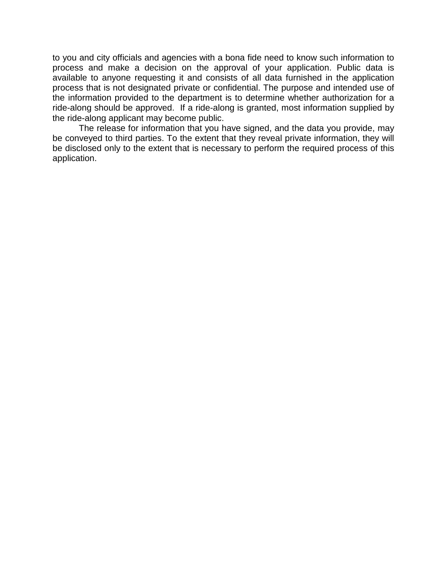to you and city officials and agencies with a bona fide need to know such information to process and make a decision on the approval of your application. Public data is available to anyone requesting it and consists of all data furnished in the application process that is not designated private or confidential. The purpose and intended use of the information provided to the department is to determine whether authorization for a ride-along should be approved. If a ride-along is granted, most information supplied by the ride-along applicant may become public.

The release for information that you have signed, and the data you provide, may be conveyed to third parties. To the extent that they reveal private information, they will be disclosed only to the extent that is necessary to perform the required process of this application.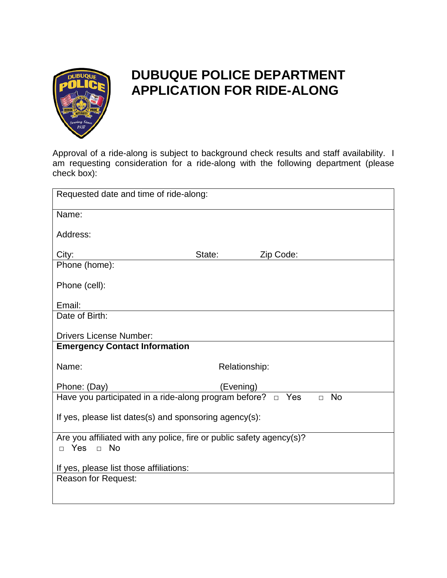

# **DUBUQUE POLICE DEPARTMENT APPLICATION FOR RIDE-ALONG**

Approval of a ride-along is subject to background check results and staff availability. I am requesting consideration for a ride-along with the following department (please check box):

| Requested date and time of ride-along:                                                          |               |           |  |  |
|-------------------------------------------------------------------------------------------------|---------------|-----------|--|--|
| Name:                                                                                           |               |           |  |  |
| Address:                                                                                        |               |           |  |  |
| City:                                                                                           | State:        | Zip Code: |  |  |
| Phone (home):                                                                                   |               |           |  |  |
| Phone (cell):                                                                                   |               |           |  |  |
| Email:                                                                                          |               |           |  |  |
| Date of Birth:                                                                                  |               |           |  |  |
| <b>Drivers License Number:</b>                                                                  |               |           |  |  |
| <b>Emergency Contact Information</b>                                                            |               |           |  |  |
| Name:                                                                                           | Relationship: |           |  |  |
| Phone: (Day)                                                                                    | (Evening)     |           |  |  |
| Have you participated in a ride-along program before? $\Box$ Yes<br><b>No</b><br>$\Box$         |               |           |  |  |
| If yes, please list dates(s) and sponsoring agency(s):                                          |               |           |  |  |
| Are you affiliated with any police, fire or public safety agency(s)?<br>$\Box$ Yes<br>$\Box$ No |               |           |  |  |
| If yes, please list those affiliations:                                                         |               |           |  |  |
| <b>Reason for Request:</b>                                                                      |               |           |  |  |
|                                                                                                 |               |           |  |  |